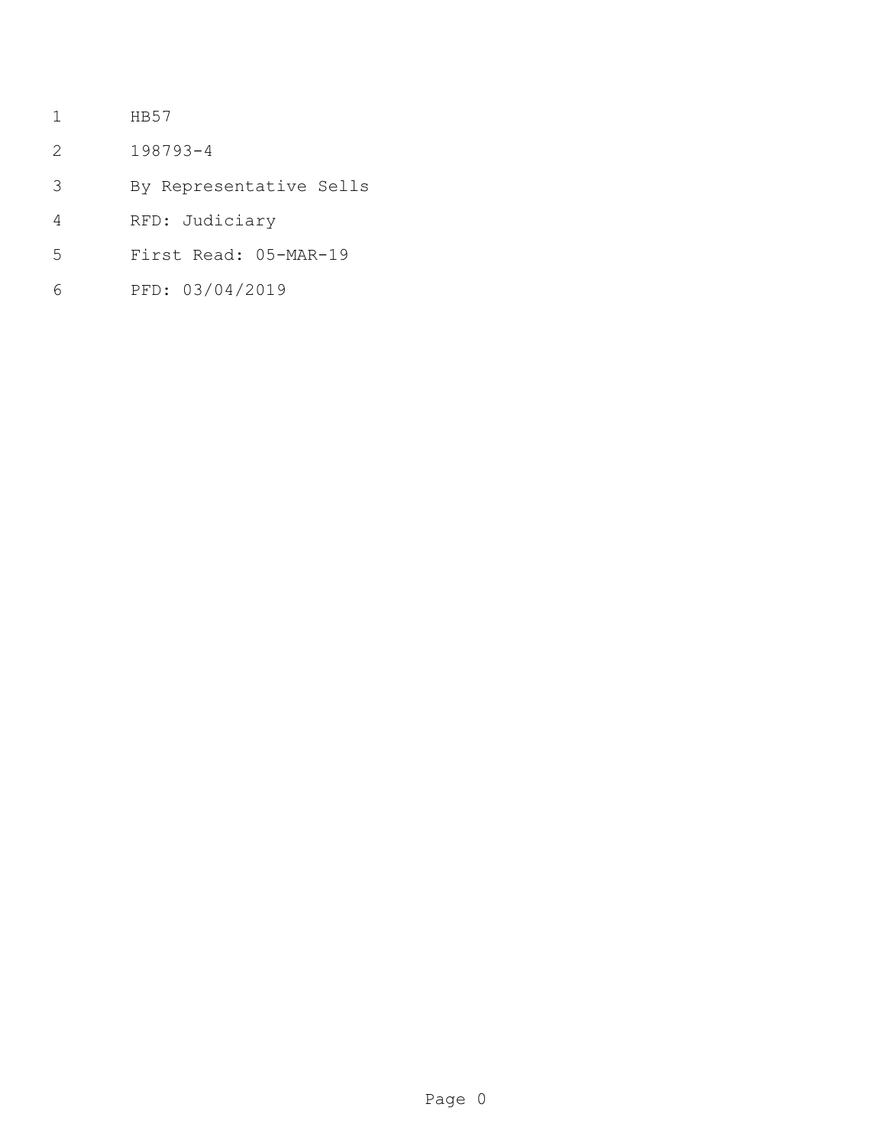- HB57
- 198793-4
- By Representative Sells
- RFD: Judiciary
- First Read: 05-MAR-19
- PFD: 03/04/2019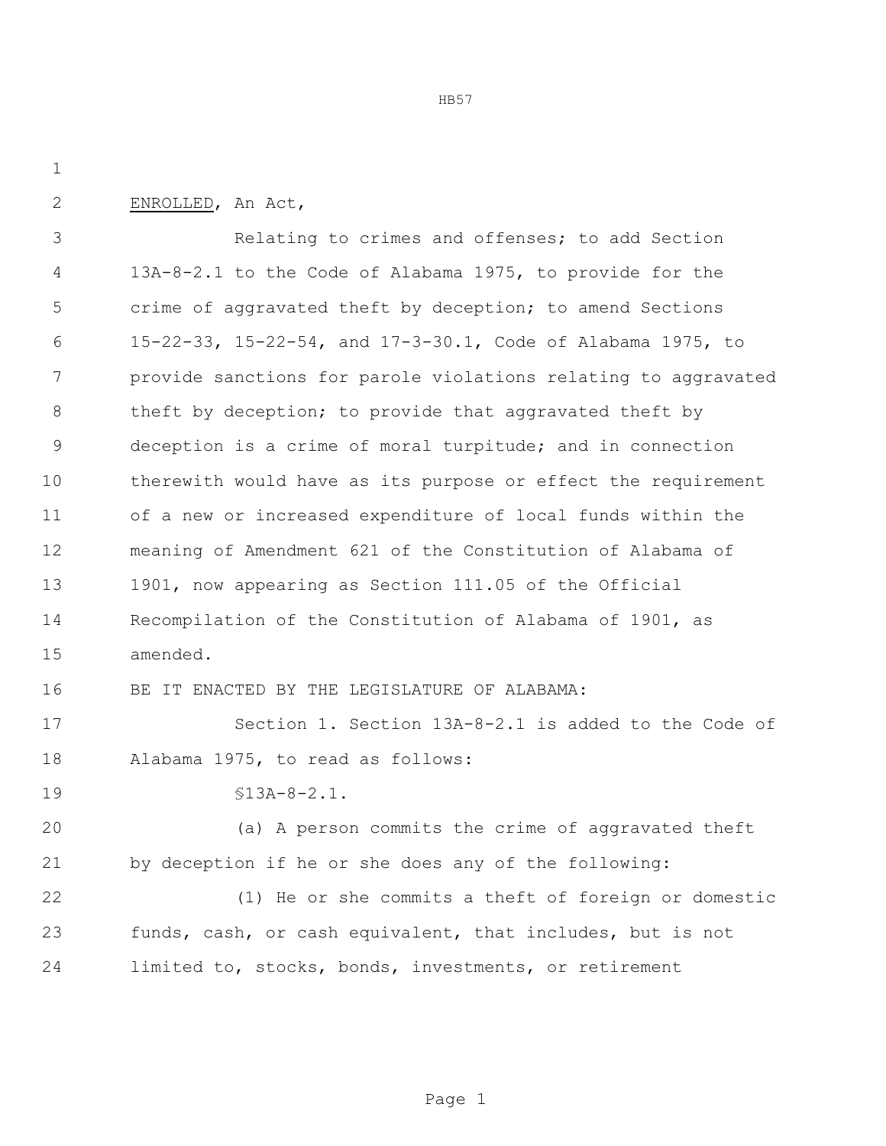HB57

ENROLLED, An Act,

 Relating to crimes and offenses; to add Section 13A-8-2.1 to the Code of Alabama 1975, to provide for the crime of aggravated theft by deception; to amend Sections 15-22-33, 15-22-54, and 17-3-30.1, Code of Alabama 1975, to provide sanctions for parole violations relating to aggravated 8 theft by deception; to provide that aggravated theft by deception is a crime of moral turpitude; and in connection therewith would have as its purpose or effect the requirement of a new or increased expenditure of local funds within the meaning of Amendment 621 of the Constitution of Alabama of 1901, now appearing as Section 111.05 of the Official Recompilation of the Constitution of Alabama of 1901, as amended. BE IT ENACTED BY THE LEGISLATURE OF ALABAMA: 17 Section 1. Section 13A-8-2.1 is added to the Code of Alabama 1975, to read as follows: 19 <br>  $$13A-8-2.1$ . (a) A person commits the crime of aggravated theft by deception if he or she does any of the following: (1) He or she commits a theft of foreign or domestic funds, cash, or cash equivalent, that includes, but is not

limited to, stocks, bonds, investments, or retirement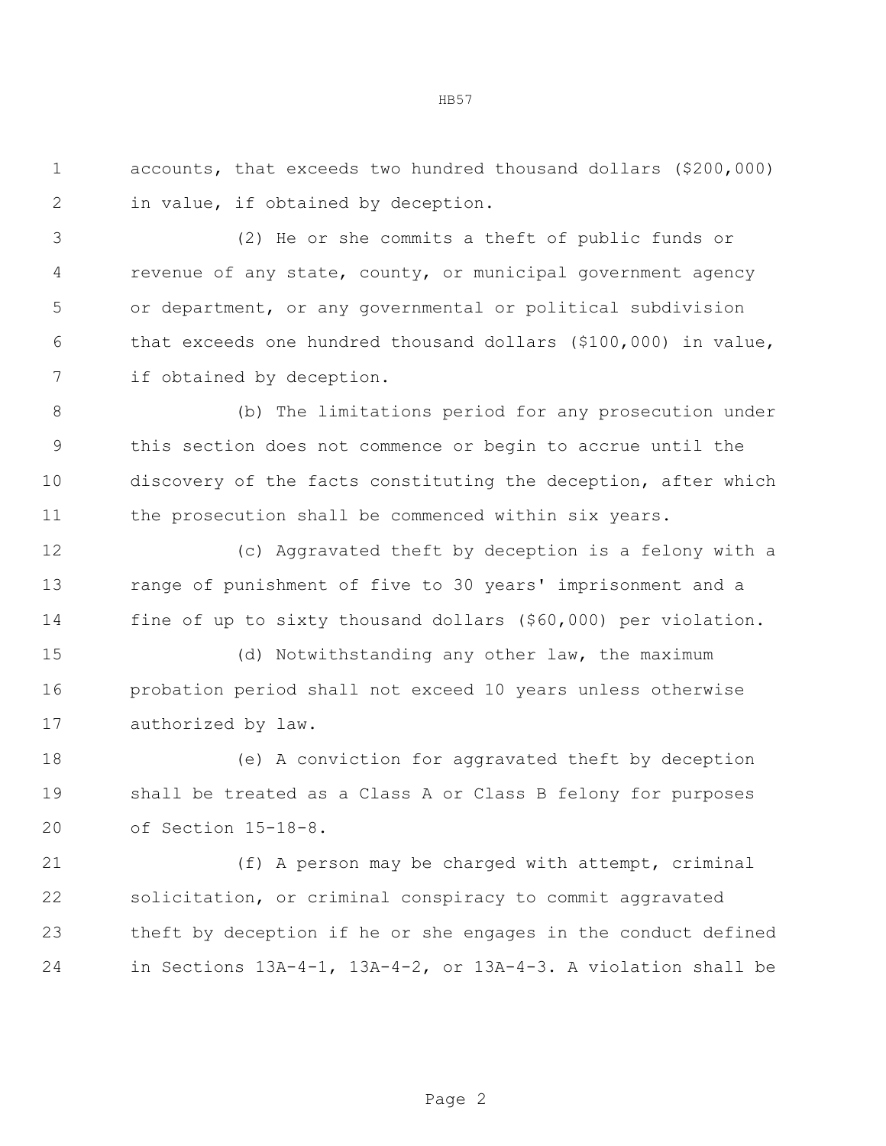accounts, that exceeds two hundred thousand dollars (\$200,000) in value, if obtained by deception.

HB57

 (2) He or she commits a theft of public funds or revenue of any state, county, or municipal government agency or department, or any governmental or political subdivision that exceeds one hundred thousand dollars (\$100,000) in value, if obtained by deception.

 (b) The limitations period for any prosecution under this section does not commence or begin to accrue until the discovery of the facts constituting the deception, after which the prosecution shall be commenced within six years.

 (c) Aggravated theft by deception is a felony with a range of punishment of five to 30 years' imprisonment and a fine of up to sixty thousand dollars (\$60,000) per violation.

 (d) Notwithstanding any other law, the maximum probation period shall not exceed 10 years unless otherwise authorized by law.

 (e) A conviction for aggravated theft by deception shall be treated as a Class A or Class B felony for purposes of Section 15-18-8.

 (f) A person may be charged with attempt, criminal solicitation, or criminal conspiracy to commit aggravated theft by deception if he or she engages in the conduct defined in Sections 13A-4-1, 13A-4-2, or 13A-4-3. A violation shall be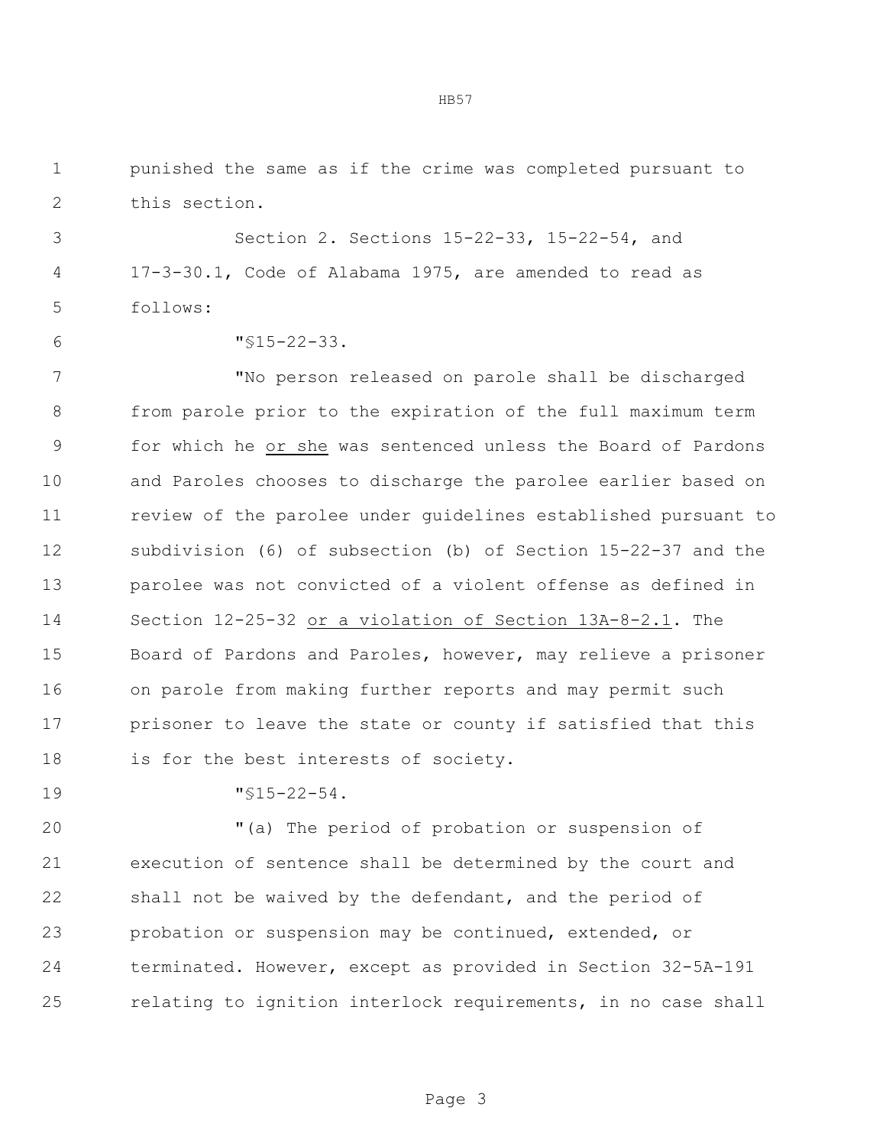punished the same as if the crime was completed pursuant to this section.

 Section 2. Sections 15-22-33, 15-22-54, and 17-3-30.1, Code of Alabama 1975, are amended to read as follows:

"§15-22-33.

 "No person released on parole shall be discharged from parole prior to the expiration of the full maximum term for which he or she was sentenced unless the Board of Pardons and Paroles chooses to discharge the parolee earlier based on review of the parolee under guidelines established pursuant to subdivision (6) of subsection (b) of Section 15-22-37 and the parolee was not convicted of a violent offense as defined in Section 12-25-32 or a violation of Section 13A-8-2.1. The Board of Pardons and Paroles, however, may relieve a prisoner on parole from making further reports and may permit such prisoner to leave the state or county if satisfied that this 18 is for the best interests of society.

"§15-22-54.

 "(a) The period of probation or suspension of execution of sentence shall be determined by the court and shall not be waived by the defendant, and the period of probation or suspension may be continued, extended, or terminated. However, except as provided in Section 32-5A-191 relating to ignition interlock requirements, in no case shall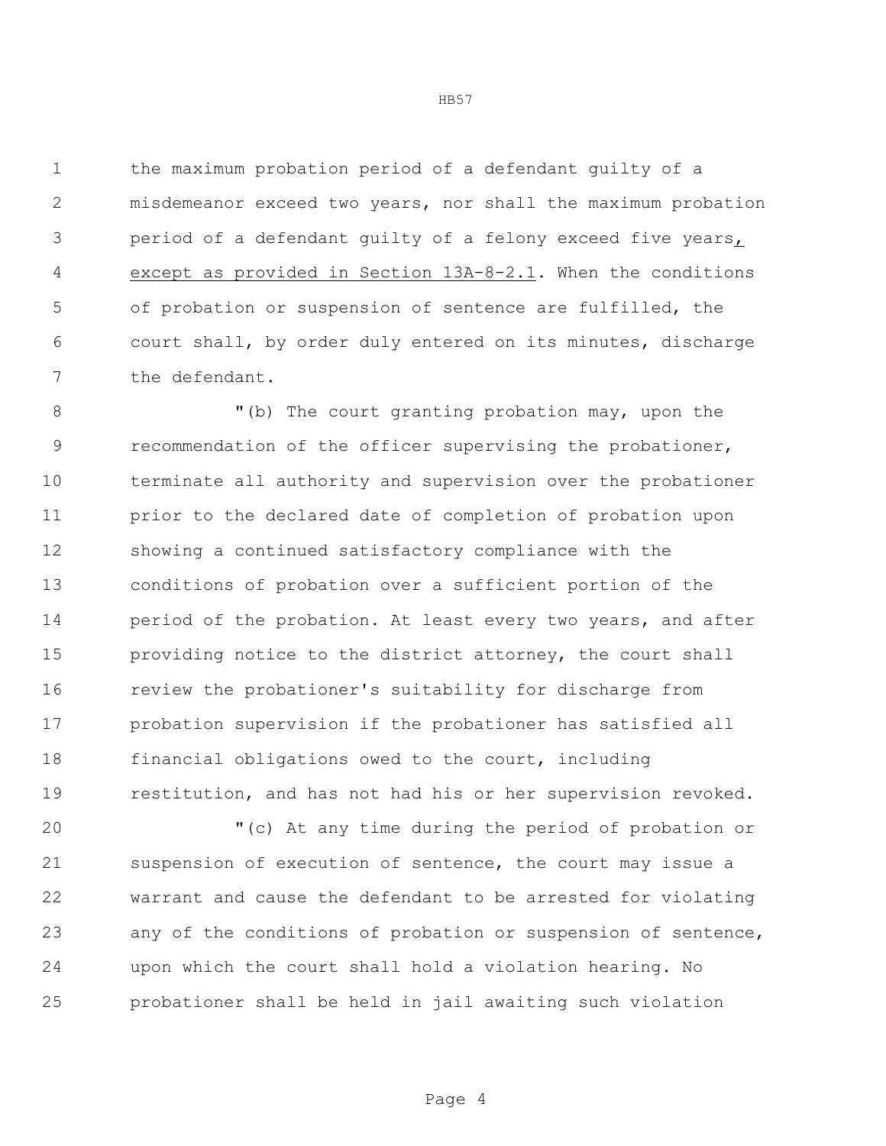the maximum probation period of a defendant guilty of a misdemeanor exceed two years, nor shall the maximum probation period of a defendant guilty of a felony exceed five years, except as provided in Section 13A-8-2.1. When the conditions of probation or suspension of sentence are fulfilled, the court shall, by order duly entered on its minutes, discharge the defendant.

8 The court granting probation may, upon the recommendation of the officer supervising the probationer, terminate all authority and supervision over the probationer prior to the declared date of completion of probation upon showing a continued satisfactory compliance with the conditions of probation over a sufficient portion of the 14 period of the probation. At least every two years, and after providing notice to the district attorney, the court shall review the probationer's suitability for discharge from probation supervision if the probationer has satisfied all financial obligations owed to the court, including restitution, and has not had his or her supervision revoked.

 "(c) At any time during the period of probation or suspension of execution of sentence, the court may issue a warrant and cause the defendant to be arrested for violating any of the conditions of probation or suspension of sentence, upon which the court shall hold a violation hearing. No probationer shall be held in jail awaiting such violation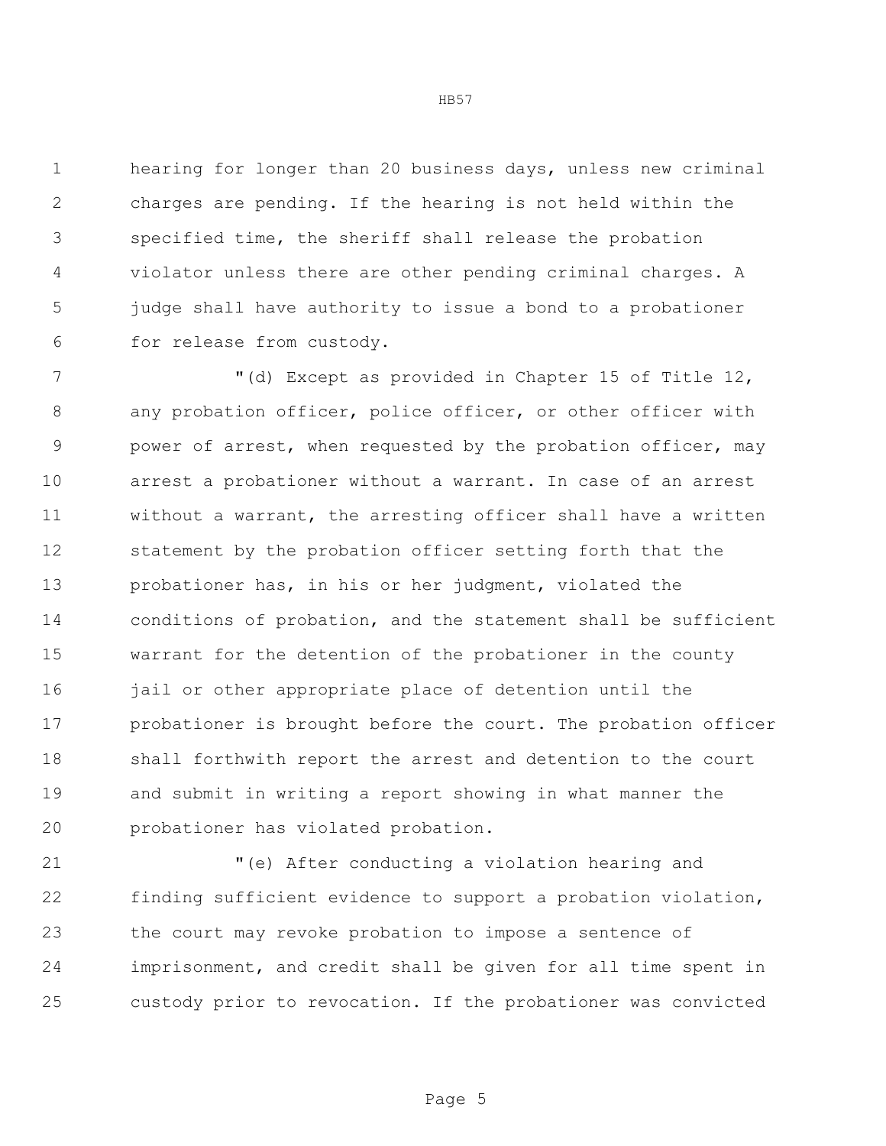hearing for longer than 20 business days, unless new criminal charges are pending. If the hearing is not held within the specified time, the sheriff shall release the probation violator unless there are other pending criminal charges. A judge shall have authority to issue a bond to a probationer for release from custody.

 "(d) Except as provided in Chapter 15 of Title 12, 8 any probation officer, police officer, or other officer with power of arrest, when requested by the probation officer, may arrest a probationer without a warrant. In case of an arrest without a warrant, the arresting officer shall have a written statement by the probation officer setting forth that the probationer has, in his or her judgment, violated the conditions of probation, and the statement shall be sufficient warrant for the detention of the probationer in the county 16 jail or other appropriate place of detention until the probationer is brought before the court. The probation officer shall forthwith report the arrest and detention to the court and submit in writing a report showing in what manner the probationer has violated probation.

 "(e) After conducting a violation hearing and finding sufficient evidence to support a probation violation, the court may revoke probation to impose a sentence of imprisonment, and credit shall be given for all time spent in custody prior to revocation. If the probationer was convicted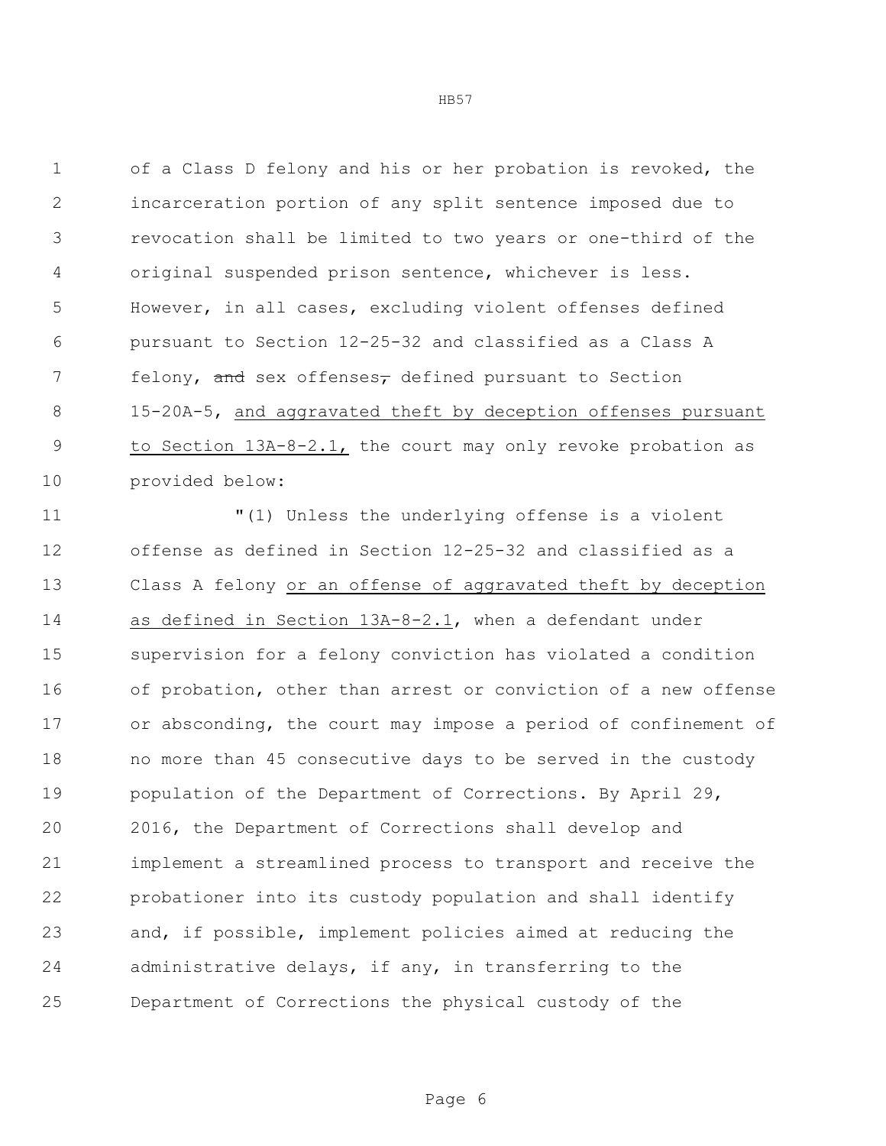of a Class D felony and his or her probation is revoked, the incarceration portion of any split sentence imposed due to revocation shall be limited to two years or one-third of the original suspended prison sentence, whichever is less. However, in all cases, excluding violent offenses defined pursuant to Section 12-25-32 and classified as a Class A 7 felony, and sex offenses<sub>7</sub> defined pursuant to Section 15-20A-5, and aggravated theft by deception offenses pursuant 9 to Section 13A-8-2.1, the court may only revoke probation as provided below:

 "(1) Unless the underlying offense is a violent offense as defined in Section 12-25-32 and classified as a Class A felony or an offense of aggravated theft by deception as defined in Section 13A-8-2.1, when a defendant under supervision for a felony conviction has violated a condition of probation, other than arrest or conviction of a new offense or absconding, the court may impose a period of confinement of no more than 45 consecutive days to be served in the custody 19 population of the Department of Corrections. By April 29, 2016, the Department of Corrections shall develop and implement a streamlined process to transport and receive the probationer into its custody population and shall identify and, if possible, implement policies aimed at reducing the administrative delays, if any, in transferring to the Department of Corrections the physical custody of the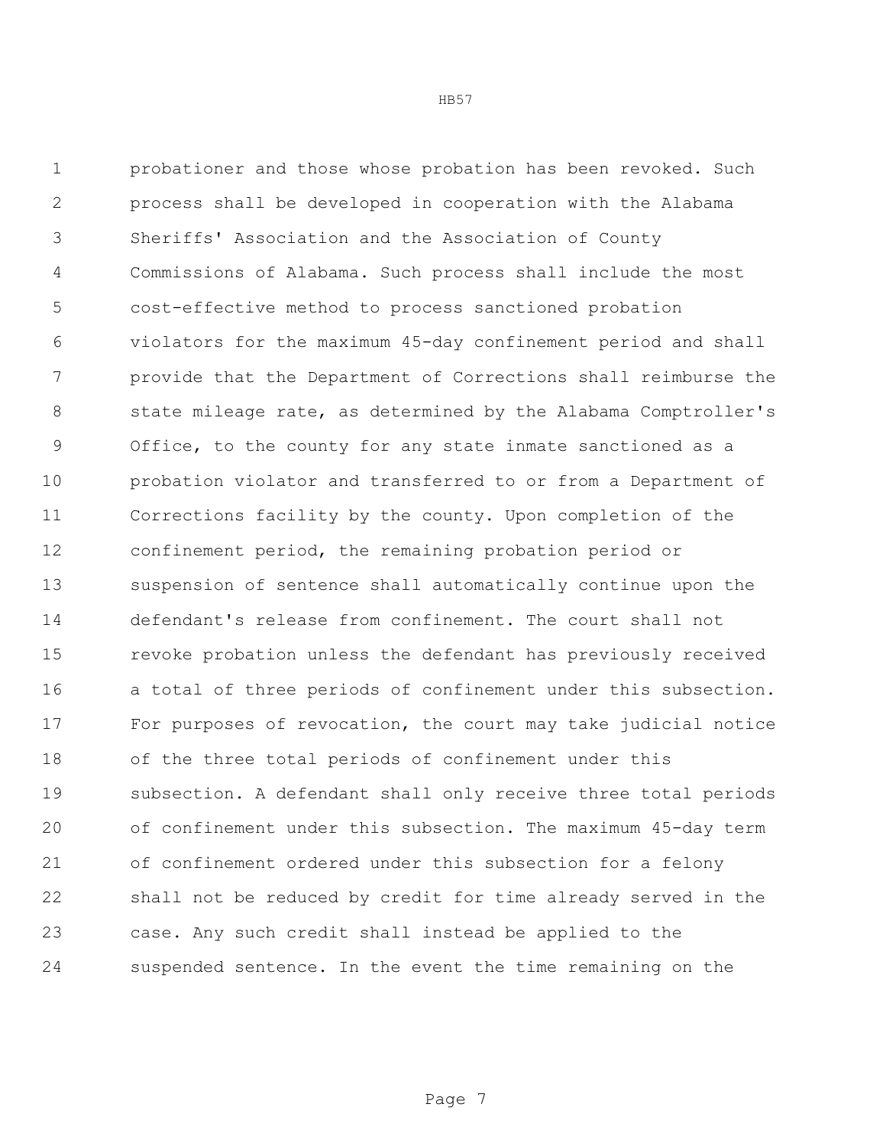probationer and those whose probation has been revoked. Such process shall be developed in cooperation with the Alabama Sheriffs' Association and the Association of County Commissions of Alabama. Such process shall include the most cost-effective method to process sanctioned probation violators for the maximum 45-day confinement period and shall provide that the Department of Corrections shall reimburse the state mileage rate, as determined by the Alabama Comptroller's Office, to the county for any state inmate sanctioned as a probation violator and transferred to or from a Department of Corrections facility by the county. Upon completion of the confinement period, the remaining probation period or suspension of sentence shall automatically continue upon the defendant's release from confinement. The court shall not revoke probation unless the defendant has previously received a total of three periods of confinement under this subsection. For purposes of revocation, the court may take judicial notice of the three total periods of confinement under this subsection. A defendant shall only receive three total periods of confinement under this subsection. The maximum 45-day term of confinement ordered under this subsection for a felony shall not be reduced by credit for time already served in the case. Any such credit shall instead be applied to the suspended sentence. In the event the time remaining on the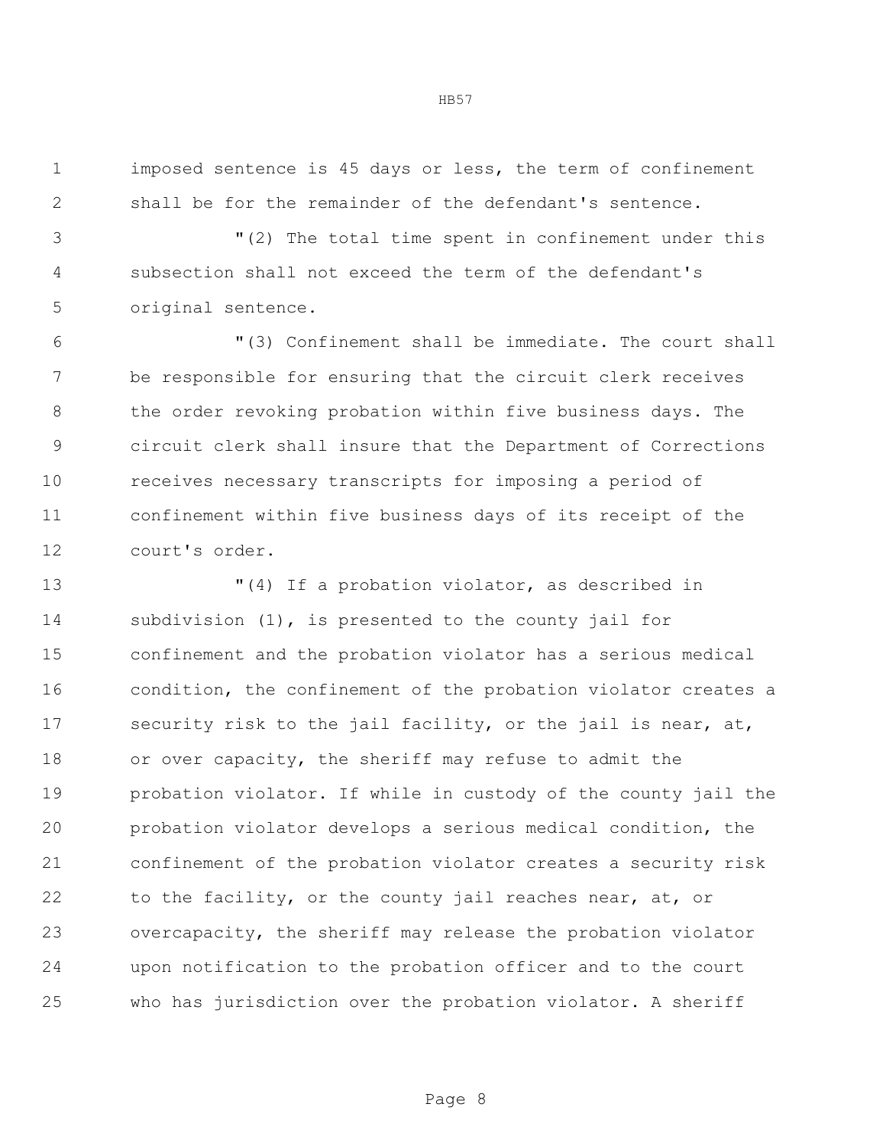imposed sentence is 45 days or less, the term of confinement shall be for the remainder of the defendant's sentence.

 "(2) The total time spent in confinement under this subsection shall not exceed the term of the defendant's original sentence.

 "(3) Confinement shall be immediate. The court shall be responsible for ensuring that the circuit clerk receives 8 the order revoking probation within five business days. The circuit clerk shall insure that the Department of Corrections receives necessary transcripts for imposing a period of confinement within five business days of its receipt of the court's order.

 "(4) If a probation violator, as described in subdivision (1), is presented to the county jail for confinement and the probation violator has a serious medical condition, the confinement of the probation violator creates a 17 security risk to the jail facility, or the jail is near, at, or over capacity, the sheriff may refuse to admit the probation violator. If while in custody of the county jail the probation violator develops a serious medical condition, the confinement of the probation violator creates a security risk to the facility, or the county jail reaches near, at, or overcapacity, the sheriff may release the probation violator upon notification to the probation officer and to the court who has jurisdiction over the probation violator. A sheriff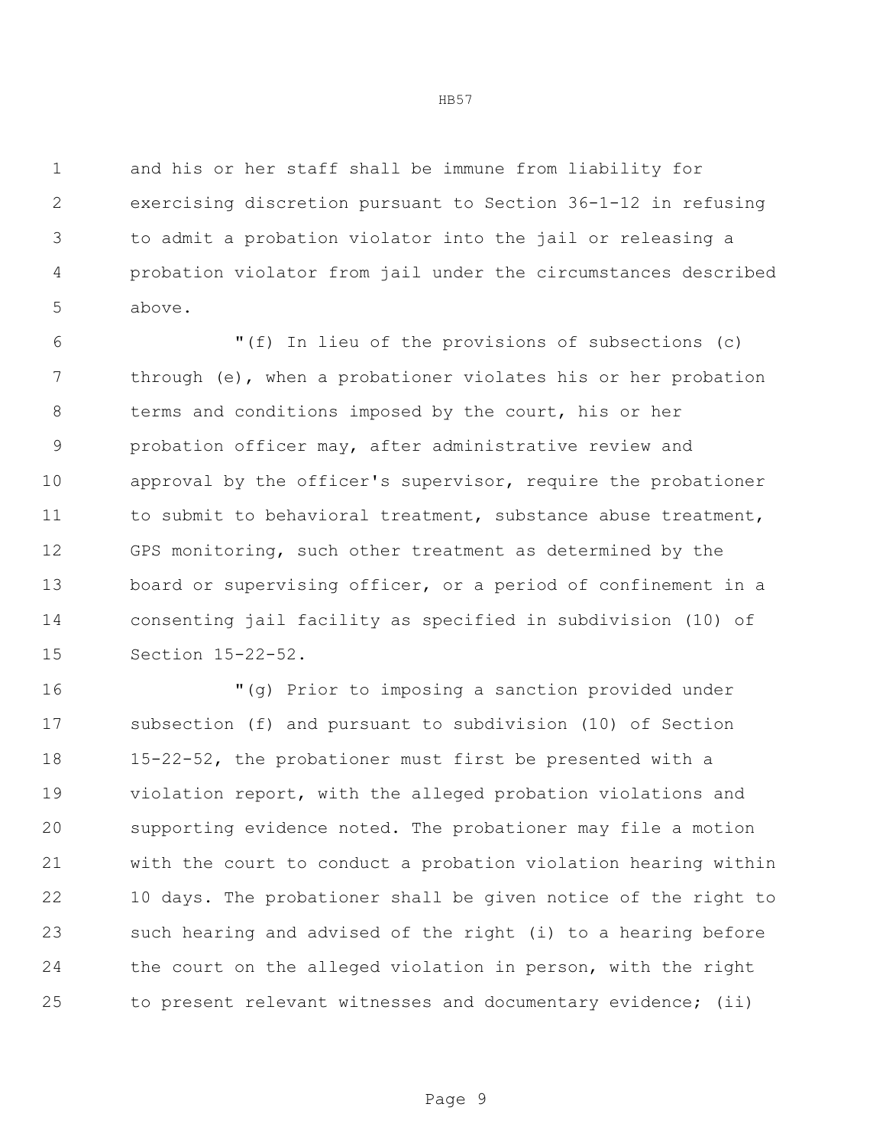and his or her staff shall be immune from liability for exercising discretion pursuant to Section 36-1-12 in refusing to admit a probation violator into the jail or releasing a probation violator from jail under the circumstances described above.

 "(f) In lieu of the provisions of subsections (c) through (e), when a probationer violates his or her probation terms and conditions imposed by the court, his or her probation officer may, after administrative review and approval by the officer's supervisor, require the probationer 11 to submit to behavioral treatment, substance abuse treatment, GPS monitoring, such other treatment as determined by the board or supervising officer, or a period of confinement in a consenting jail facility as specified in subdivision (10) of Section 15-22-52.

 "(g) Prior to imposing a sanction provided under subsection (f) and pursuant to subdivision (10) of Section 15-22-52, the probationer must first be presented with a violation report, with the alleged probation violations and supporting evidence noted. The probationer may file a motion with the court to conduct a probation violation hearing within 10 days. The probationer shall be given notice of the right to such hearing and advised of the right (i) to a hearing before the court on the alleged violation in person, with the right to present relevant witnesses and documentary evidence; (ii)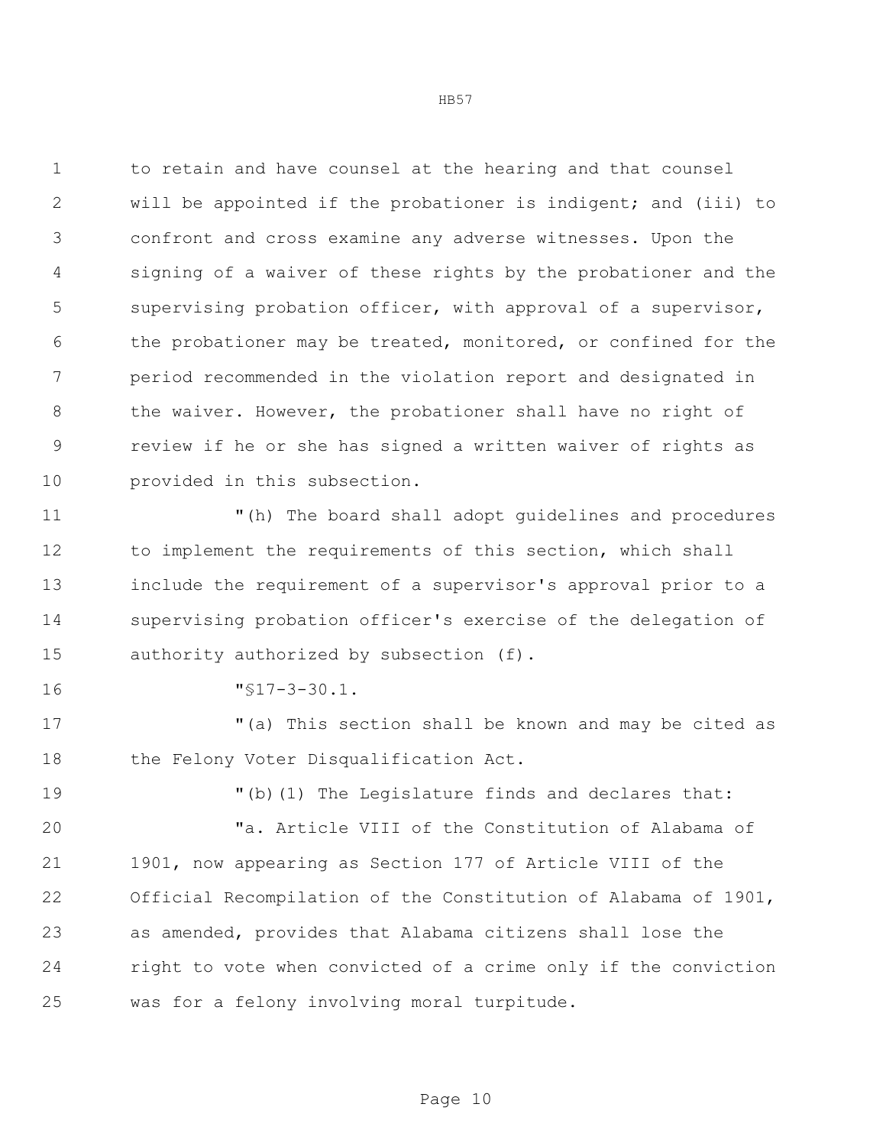to retain and have counsel at the hearing and that counsel will be appointed if the probationer is indigent; and (iii) to confront and cross examine any adverse witnesses. Upon the signing of a waiver of these rights by the probationer and the supervising probation officer, with approval of a supervisor, the probationer may be treated, monitored, or confined for the period recommended in the violation report and designated in 8 the waiver. However, the probationer shall have no right of review if he or she has signed a written waiver of rights as provided in this subsection.

 "(h) The board shall adopt guidelines and procedures to implement the requirements of this section, which shall include the requirement of a supervisor's approval prior to a supervising probation officer's exercise of the delegation of 15 authority authorized by subsection (f).

"§17-3-30.1.

 "(a) This section shall be known and may be cited as the Felony Voter Disqualification Act.

"(b)(1) The Legislature finds and declares that:

 "a. Article VIII of the Constitution of Alabama of 1901, now appearing as Section 177 of Article VIII of the Official Recompilation of the Constitution of Alabama of 1901, as amended, provides that Alabama citizens shall lose the right to vote when convicted of a crime only if the conviction was for a felony involving moral turpitude.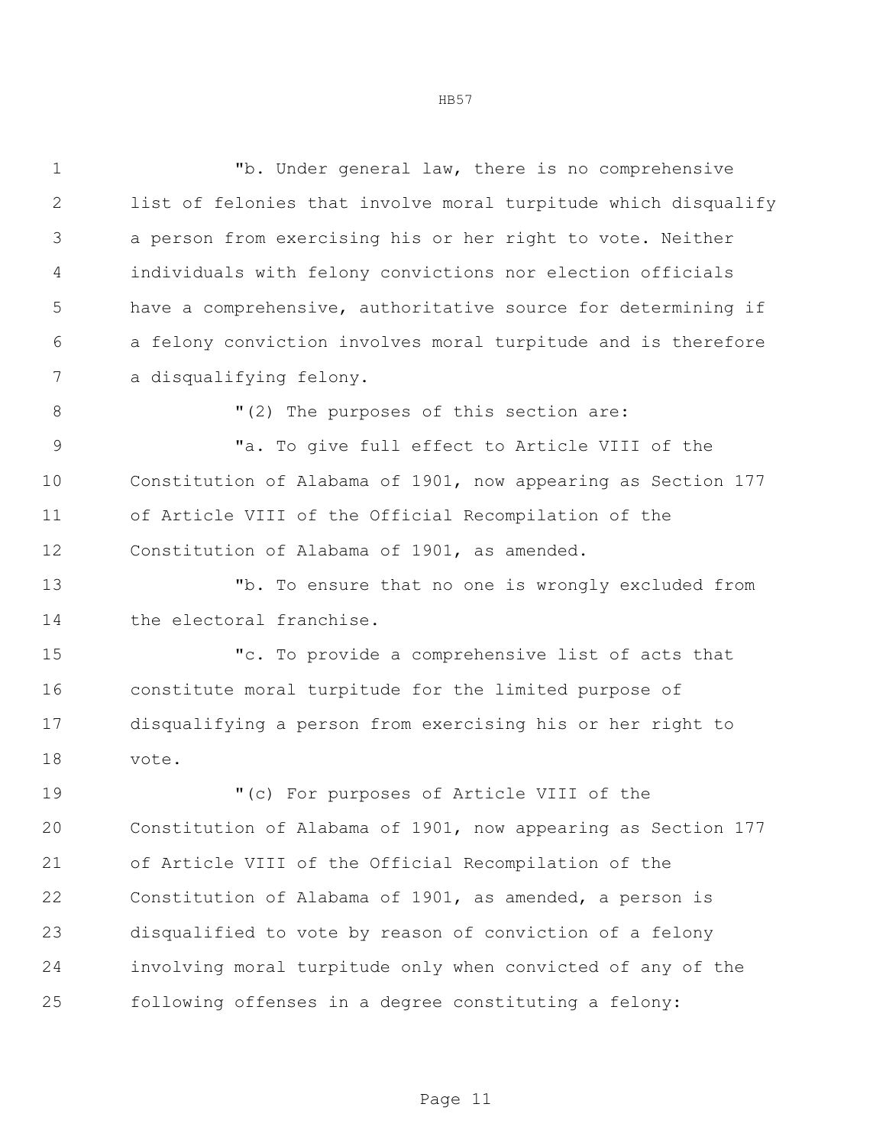"b. Under general law, there is no comprehensive list of felonies that involve moral turpitude which disqualify a person from exercising his or her right to vote. Neither individuals with felony convictions nor election officials have a comprehensive, authoritative source for determining if a felony conviction involves moral turpitude and is therefore a disqualifying felony.  $(2)$  The purposes of this section are: "a. To give full effect to Article VIII of the Constitution of Alabama of 1901, now appearing as Section 177 of Article VIII of the Official Recompilation of the Constitution of Alabama of 1901, as amended. "b. To ensure that no one is wrongly excluded from 14 the electoral franchise. "c. To provide a comprehensive list of acts that constitute moral turpitude for the limited purpose of disqualifying a person from exercising his or her right to vote. "(c) For purposes of Article VIII of the Constitution of Alabama of 1901, now appearing as Section 177 of Article VIII of the Official Recompilation of the Constitution of Alabama of 1901, as amended, a person is disqualified to vote by reason of conviction of a felony involving moral turpitude only when convicted of any of the following offenses in a degree constituting a felony: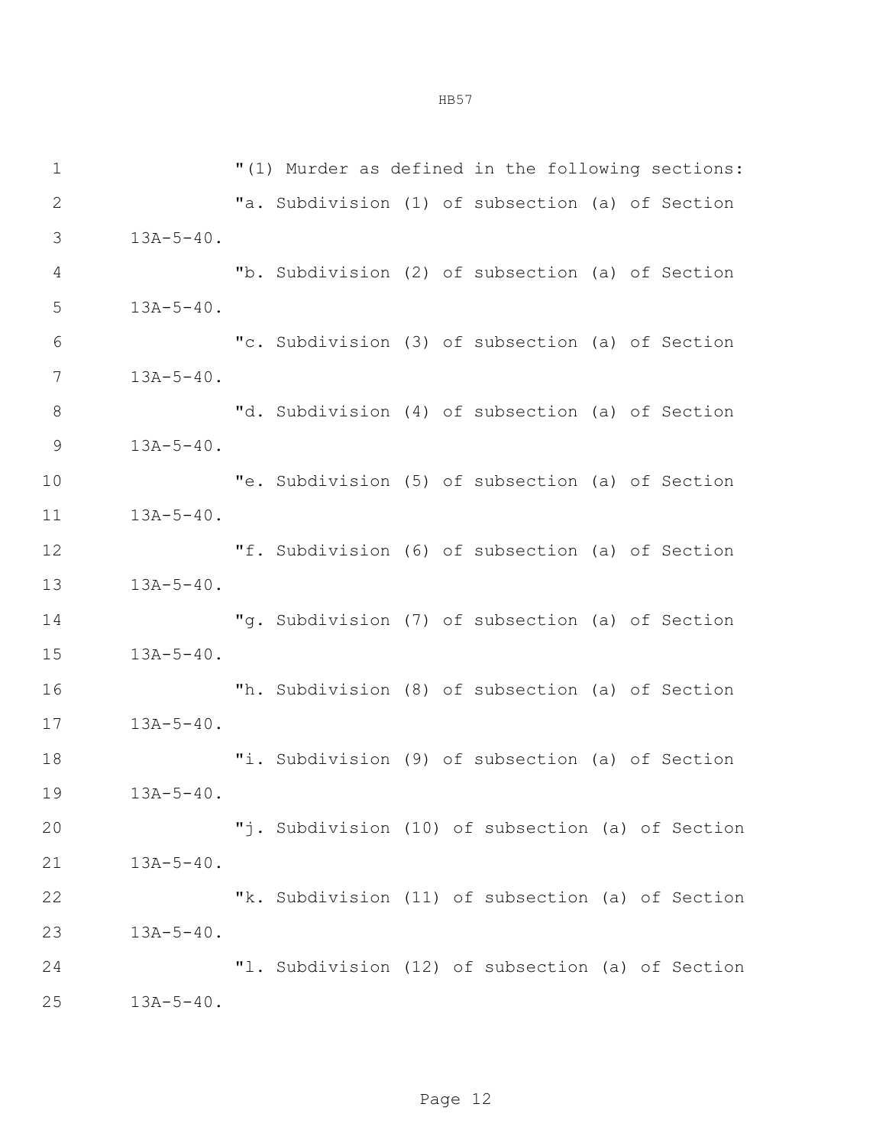"(1) Murder as defined in the following sections: "a. Subdivision (1) of subsection (a) of Section 13A-5-40. "b. Subdivision (2) of subsection (a) of Section 13A-5-40. "c. Subdivision (3) of subsection (a) of Section 13A-5-40. 8 "d. Subdivision (4) of subsection (a) of Section 13A-5-40. "e. Subdivision (5) of subsection (a) of Section 13A-5-40. "f. Subdivision (6) of subsection (a) of Section 13A-5-40. "g. Subdivision (7) of subsection (a) of Section 13A-5-40. "h. Subdivision (8) of subsection (a) of Section 13A-5-40. "i. Subdivision (9) of subsection (a) of Section 13A-5-40. "j. Subdivision (10) of subsection (a) of Section 13A-5-40. "k. Subdivision (11) of subsection (a) of Section 13A-5-40. "l. Subdivision (12) of subsection (a) of Section 13A-5-40.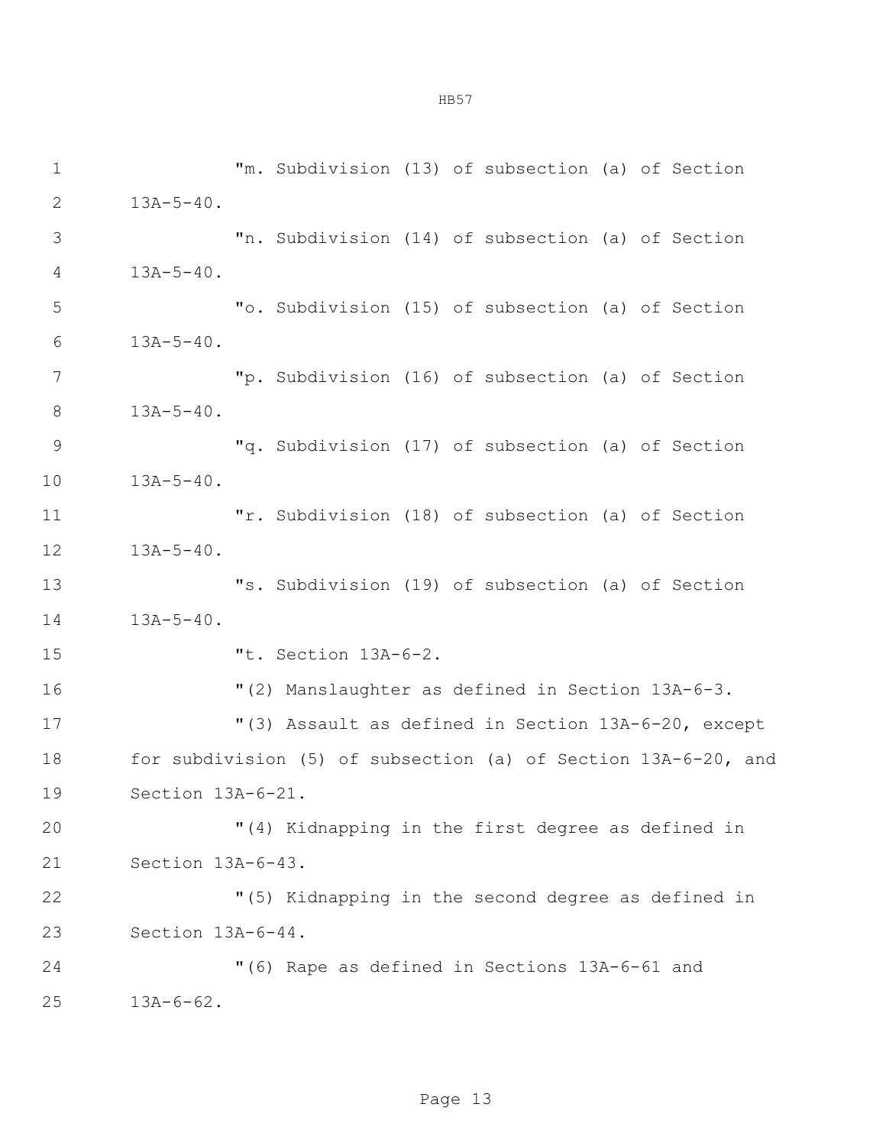"m. Subdivision (13) of subsection (a) of Section  $2 \t 13A-5-40.$  "n. Subdivision (14) of subsection (a) of Section 13A-5-40. "o. Subdivision (15) of subsection (a) of Section 13A-5-40. "p. Subdivision (16) of subsection (a) of Section 13A-5-40. "q. Subdivision (17) of subsection (a) of Section 13A-5-40. "r. Subdivision (18) of subsection (a) of Section 13A-5-40. "s. Subdivision (19) of subsection (a) of Section 13A-5-40. "t. Section 13A-6-2. "(2) Manslaughter as defined in Section 13A-6-3. "(3) Assault as defined in Section 13A-6-20, except for subdivision (5) of subsection (a) of Section 13A-6-20, and Section 13A-6-21. "(4) Kidnapping in the first degree as defined in Section 13A-6-43. "(5) Kidnapping in the second degree as defined in Section 13A-6-44. "(6) Rape as defined in Sections 13A-6-61 and 13A-6-62.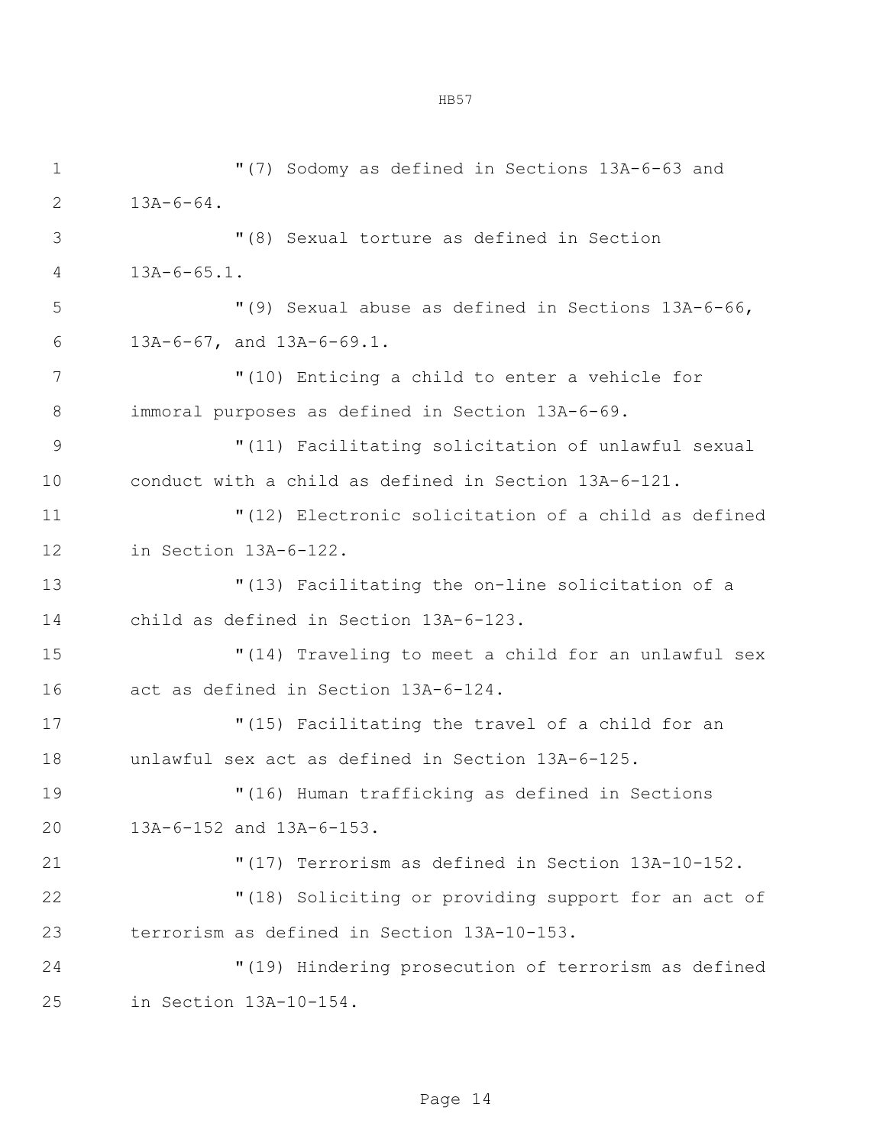"(7) Sodomy as defined in Sections 13A-6-63 and  $2 13A-6-64.$  "(8) Sexual torture as defined in Section 13A-6-65.1. "(9) Sexual abuse as defined in Sections 13A-6-66, 13A-6-67, and 13A-6-69.1. "(10) Enticing a child to enter a vehicle for immoral purposes as defined in Section 13A-6-69. "(11) Facilitating solicitation of unlawful sexual conduct with a child as defined in Section 13A-6-121. "(12) Electronic solicitation of a child as defined in Section 13A-6-122. "(13) Facilitating the on-line solicitation of a child as defined in Section 13A-6-123. "(14) Traveling to meet a child for an unlawful sex act as defined in Section 13A-6-124. "(15) Facilitating the travel of a child for an unlawful sex act as defined in Section 13A-6-125. "(16) Human trafficking as defined in Sections 13A-6-152 and 13A-6-153. "(17) Terrorism as defined in Section 13A-10-152. "(18) Soliciting or providing support for an act of terrorism as defined in Section 13A-10-153. "(19) Hindering prosecution of terrorism as defined in Section 13A-10-154.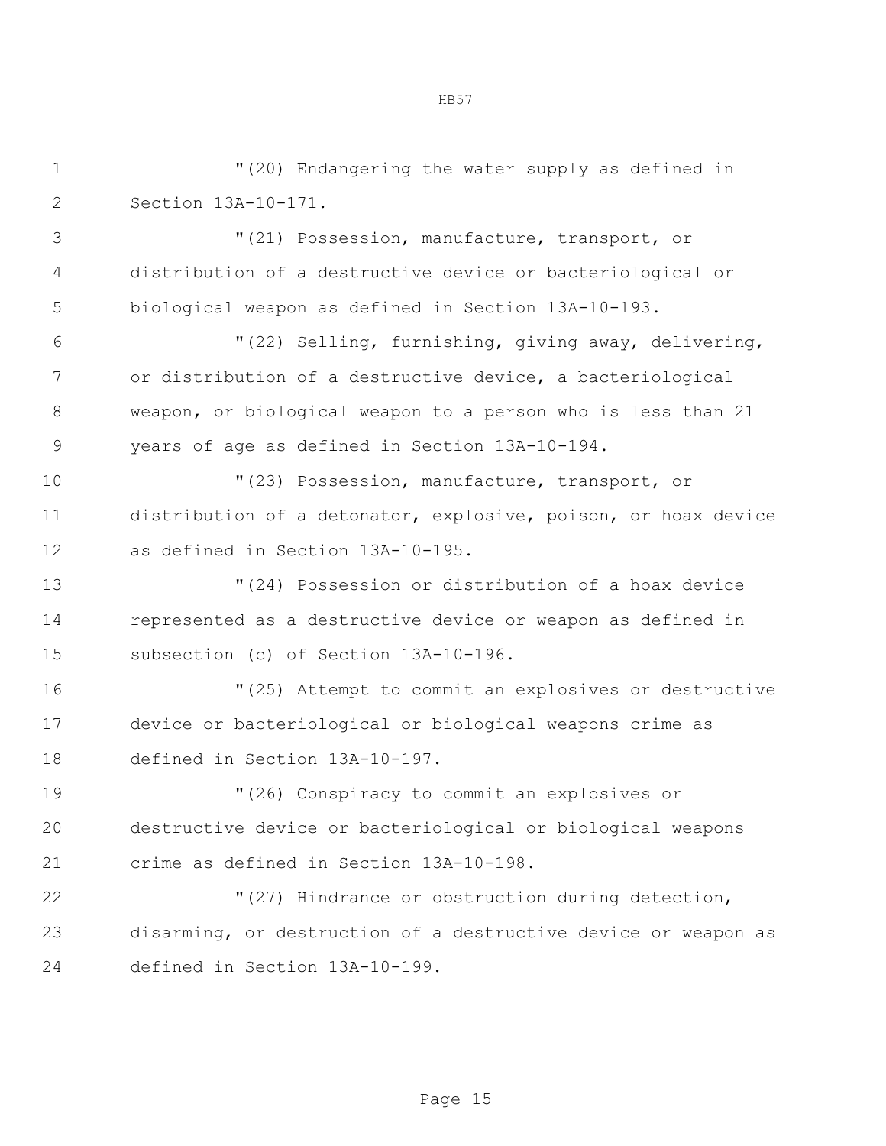"(20) Endangering the water supply as defined in Section 13A-10-171. "(21) Possession, manufacture, transport, or distribution of a destructive device or bacteriological or biological weapon as defined in Section 13A-10-193. "(22) Selling, furnishing, giving away, delivering, or distribution of a destructive device, a bacteriological weapon, or biological weapon to a person who is less than 21 years of age as defined in Section 13A-10-194. "(23) Possession, manufacture, transport, or distribution of a detonator, explosive, poison, or hoax device as defined in Section 13A-10-195. "(24) Possession or distribution of a hoax device represented as a destructive device or weapon as defined in subsection (c) of Section 13A-10-196. "(25) Attempt to commit an explosives or destructive device or bacteriological or biological weapons crime as defined in Section 13A-10-197. "(26) Conspiracy to commit an explosives or destructive device or bacteriological or biological weapons crime as defined in Section 13A-10-198. "(27) Hindrance or obstruction during detection, disarming, or destruction of a destructive device or weapon as defined in Section 13A-10-199.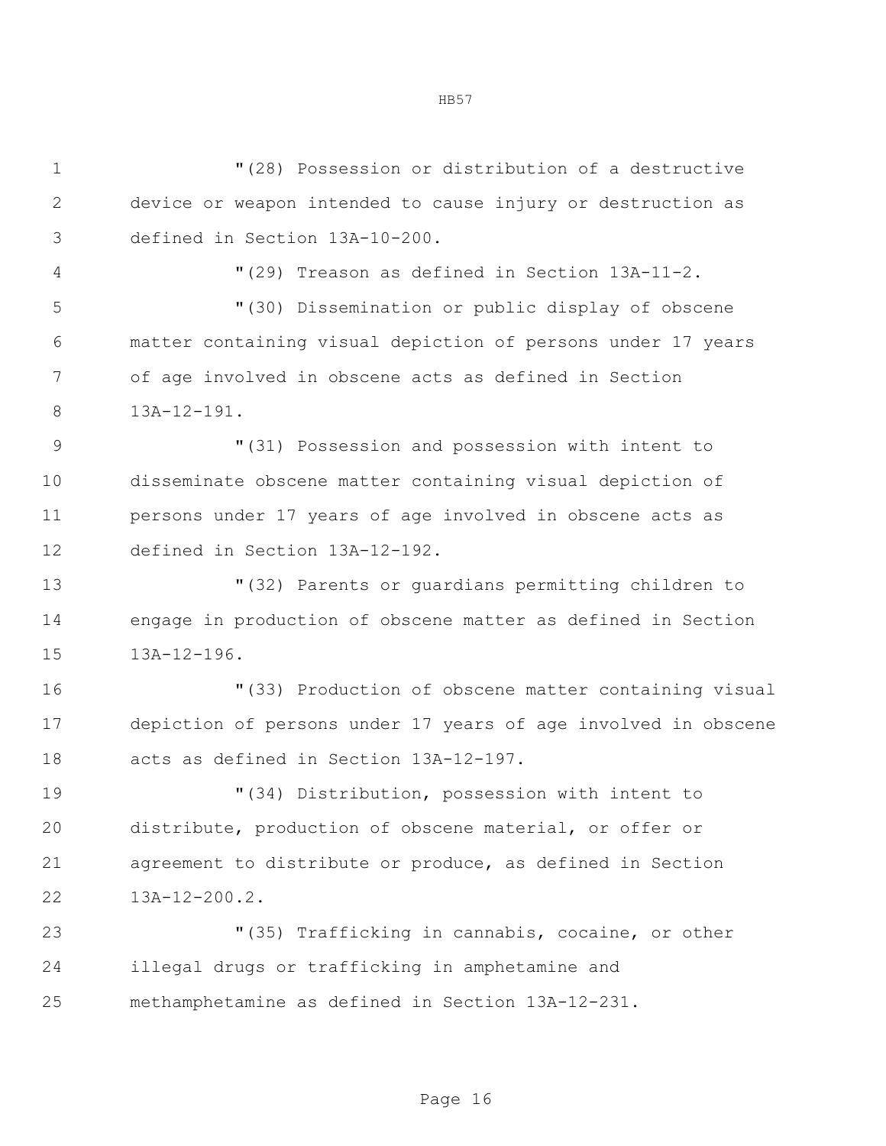| $\mathbf 1$  | "(28) Possession or distribution of a destructive              |  |  |  |  |
|--------------|----------------------------------------------------------------|--|--|--|--|
| $\mathbf{2}$ | device or weapon intended to cause injury or destruction as    |  |  |  |  |
| 3            | defined in Section 13A-10-200.                                 |  |  |  |  |
| 4            | "(29) Treason as defined in Section 13A-11-2.                  |  |  |  |  |
| 5            | "(30) Dissemination or public display of obscene               |  |  |  |  |
| 6            | matter containing visual depiction of persons under 17 years   |  |  |  |  |
| 7            | of age involved in obscene acts as defined in Section          |  |  |  |  |
| $8\,$        | $13A-12-191.$                                                  |  |  |  |  |
| 9            | "(31) Possession and possession with intent to                 |  |  |  |  |
| 10           | disseminate obscene matter containing visual depiction of      |  |  |  |  |
| 11           | persons under 17 years of age involved in obscene acts as      |  |  |  |  |
| 12           | defined in Section 13A-12-192.                                 |  |  |  |  |
| 13           | "(32) Parents or quardians permitting children to              |  |  |  |  |
| 14           | engage in production of obscene matter as defined in Section   |  |  |  |  |
| 15           | $13A-12-196.$                                                  |  |  |  |  |
| 16           | "(33) Production of obscene matter containing visual           |  |  |  |  |
| 17           | depiction of persons under 17 years of age involved in obscene |  |  |  |  |
| 18           | acts as defined in Section 13A-12-197.                         |  |  |  |  |
| 19           | "(34) Distribution, possession with intent to                  |  |  |  |  |
| 20           | distribute, production of obscene material, or offer or        |  |  |  |  |
| 21           | agreement to distribute or produce, as defined in Section      |  |  |  |  |
| 22           | $13A-12-200.2$ .                                               |  |  |  |  |
| 23           | "(35) Trafficking in cannabis, cocaine, or other               |  |  |  |  |
| 24           | illegal drugs or trafficking in amphetamine and                |  |  |  |  |
| 25           | methamphetamine as defined in Section 13A-12-231.              |  |  |  |  |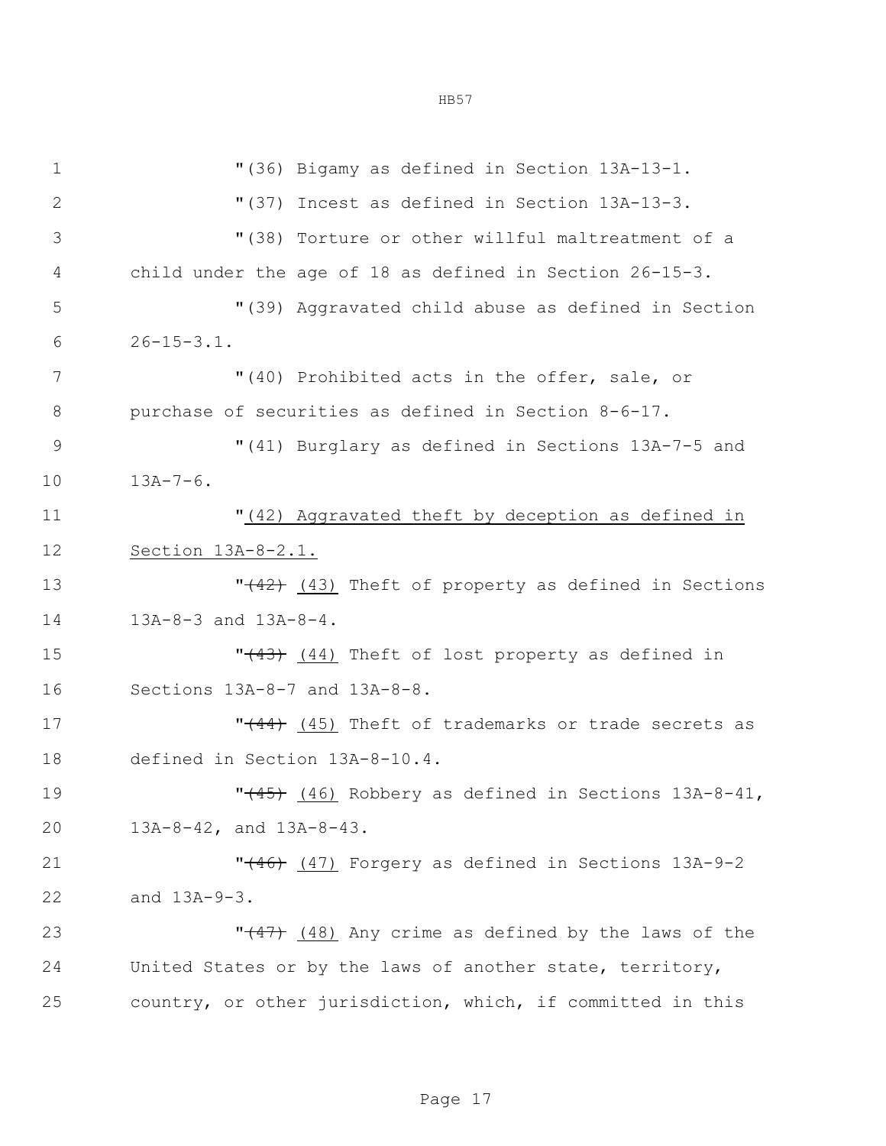| $\mathbf 1$   | "(36) Bigamy as defined in Section 13A-13-1.                    |  |  |  |
|---------------|-----------------------------------------------------------------|--|--|--|
| $\mathbf{2}$  | "(37) Incest as defined in Section 13A-13-3.                    |  |  |  |
| 3             | "(38) Torture or other willful maltreatment of a                |  |  |  |
| 4             | child under the age of 18 as defined in Section $26-15-3$ .     |  |  |  |
| 5             | "(39) Aggravated child abuse as defined in Section              |  |  |  |
| 6             | $26 - 15 - 3.1$ .                                               |  |  |  |
| 7             | "(40) Prohibited acts in the offer, sale, or                    |  |  |  |
| 8             | purchase of securities as defined in Section 8-6-17.            |  |  |  |
| $\mathcal{G}$ | "(41) Burglary as defined in Sections 13A-7-5 and               |  |  |  |
| 10            | $13A-7-6$ .                                                     |  |  |  |
| 11            | "(42) Aggravated theft by deception as defined in               |  |  |  |
| 12            | Section 13A-8-2.1.                                              |  |  |  |
| 13            | " <del>(42)</del> (43) Theft of property as defined in Sections |  |  |  |
| 14            | 13A-8-3 and 13A-8-4.                                            |  |  |  |
| 15            | "(43) (44) Theft of lost property as defined in                 |  |  |  |
| 16            | Sections 13A-8-7 and 13A-8-8.                                   |  |  |  |
| 17            | " <sup>(44</sup> ) (45) Theft of trademarks or trade secrets as |  |  |  |
| 18            | defined in Section 13A-8-10.4.                                  |  |  |  |
| 19            | " <sup>(45)</sup> (46) Robbery as defined in Sections 13A-8-41, |  |  |  |
| 20            | 13A-8-42, and 13A-8-43.                                         |  |  |  |
| 21            | "(46) (47) Forgery as defined in Sections 13A-9-2               |  |  |  |
| 22            | and 13A-9-3.                                                    |  |  |  |
| 23            | " $(47)$ (48) Any crime as defined by the laws of the           |  |  |  |
| 24            | United States or by the laws of another state, territory,       |  |  |  |
| 25            | country, or other jurisdiction, which, if committed in this     |  |  |  |
|               |                                                                 |  |  |  |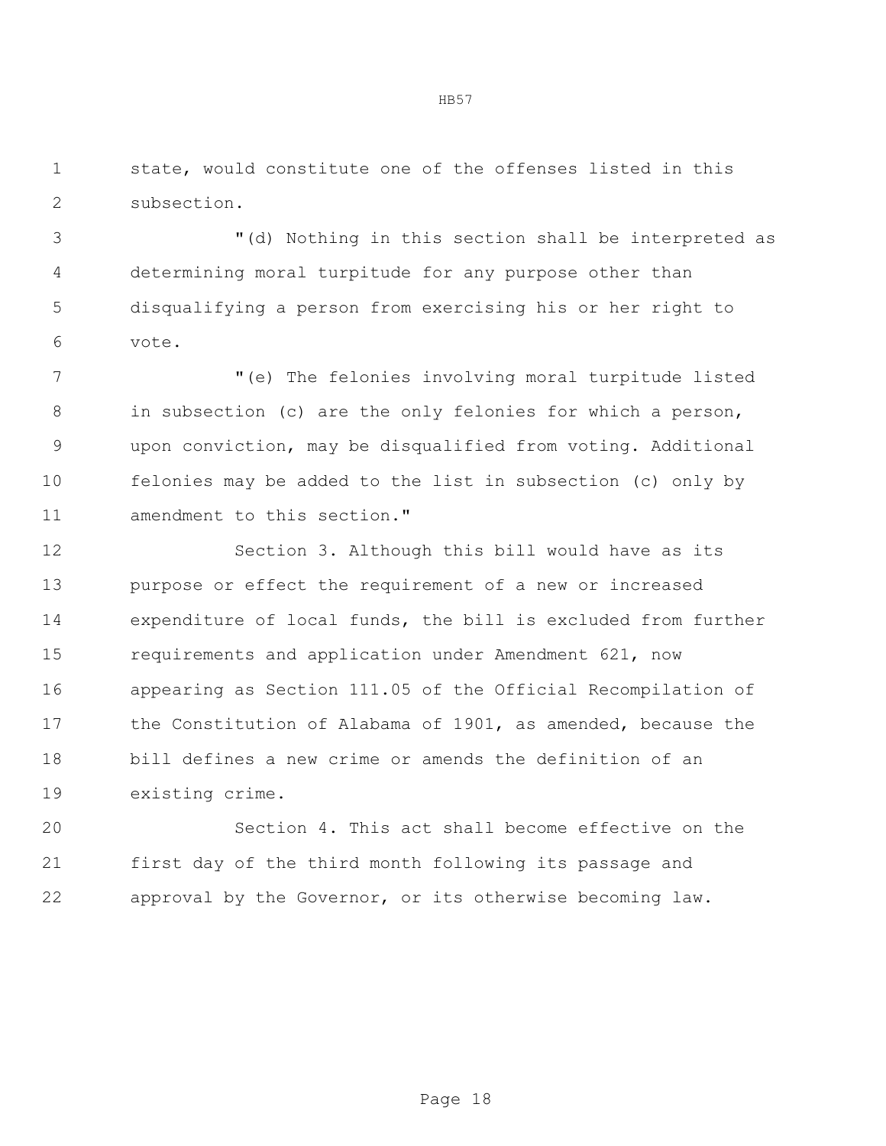state, would constitute one of the offenses listed in this subsection.

 "(d) Nothing in this section shall be interpreted as determining moral turpitude for any purpose other than disqualifying a person from exercising his or her right to vote.

 "(e) The felonies involving moral turpitude listed in subsection (c) are the only felonies for which a person, upon conviction, may be disqualified from voting. Additional felonies may be added to the list in subsection (c) only by amendment to this section."

 Section 3. Although this bill would have as its purpose or effect the requirement of a new or increased expenditure of local funds, the bill is excluded from further requirements and application under Amendment 621, now appearing as Section 111.05 of the Official Recompilation of the Constitution of Alabama of 1901, as amended, because the bill defines a new crime or amends the definition of an existing crime.

 Section 4. This act shall become effective on the first day of the third month following its passage and approval by the Governor, or its otherwise becoming law.